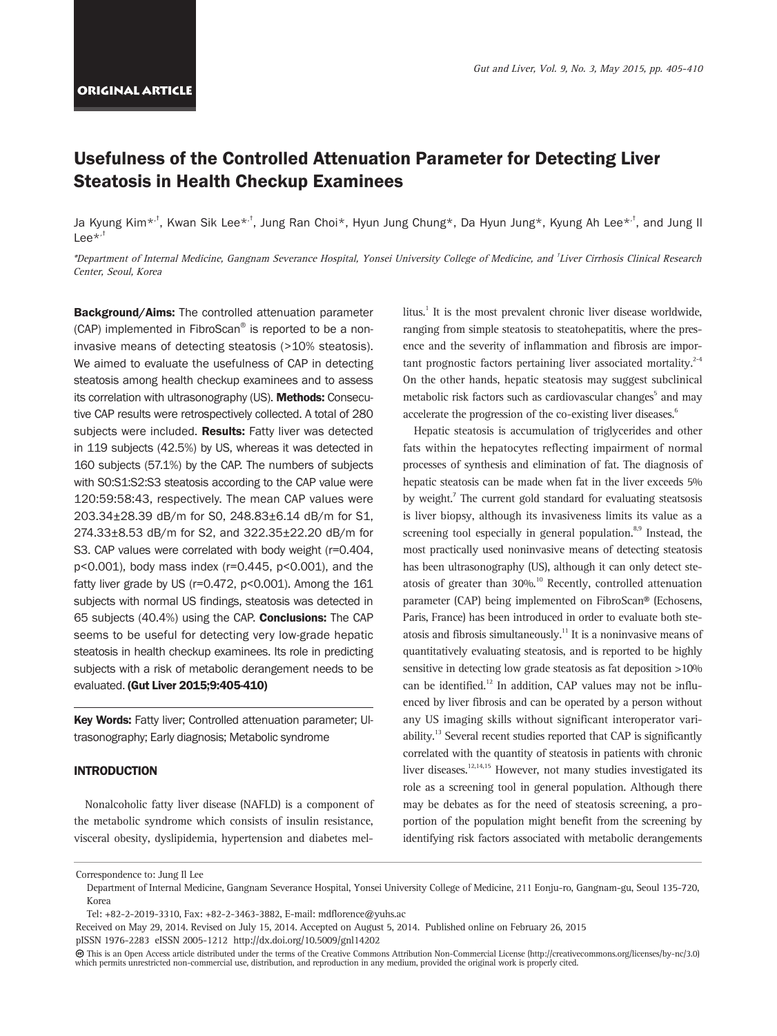# Usefulness of the Controlled Attenuation Parameter for Detecting Liver Steatosis in Health Checkup Examinees

Ja Kyung Kim\*<sup>,†</sup>, Kwan Sik Lee\*<sup>,†</sup>, Jung Ran Choi\*, Hyun Jung Chung\*, Da Hyun Jung\*, Kyung Ah Lee\*<sup>,†</sup>, and Jung Il Lee $*$ , $<sup>†</sup>$ </sup>

\*Department of Internal Medicine, Gangnam Severance Hospital, Yonsei University College of Medicine, and † Liver Cirrhosis Clinical Research Center, Seoul, Korea

Background/Aims: The controlled attenuation parameter (CAP) implemented in FibroScan® is reported to be a noninvasive means of detecting steatosis (>10% steatosis). We aimed to evaluate the usefulness of CAP in detecting steatosis among health checkup examinees and to assess its correlation with ultrasonography (US). Methods: Consecutive CAP results were retrospectively collected. A total of 280 subjects were included. Results: Fatty liver was detected in 119 subjects (42.5%) by US, whereas it was detected in 160 subjects (57.1%) by the CAP. The numbers of subjects with S0:S1:S2:S3 steatosis according to the CAP value were 120:59:58:43, respectively. The mean CAP values were 203.34±28.39 dB/m for S0, 248.83±6.14 dB/m for S1, 274.33±8.53 dB/m for S2, and 322.35±22.20 dB/m for S3. CAP values were correlated with body weight (r=0.404, p<0.001), body mass index (r=0.445, p<0.001), and the fatty liver grade by US (r=0.472, p<0.001). Among the 161 subjects with normal US findings, steatosis was detected in 65 subjects (40.4%) using the CAP. Conclusions: The CAP seems to be useful for detecting very low-grade hepatic steatosis in health checkup examinees. Its role in predicting subjects with a risk of metabolic derangement needs to be evaluated. (Gut Liver 2015;9:405-410)

Key Words: Fatty liver; Controlled attenuation parameter; UItrasonography; Early diagnosis; Metabolic syndrome

## INTRODUCTION

Nonalcoholic fatty liver disease (NAFLD) is a component of the metabolic syndrome which consists of insulin resistance, visceral obesity, dyslipidemia, hypertension and diabetes mellitus.<sup>1</sup> It is the most prevalent chronic liver disease worldwide, ranging from simple steatosis to steatohepatitis, where the presence and the severity of inflammation and fibrosis are important prognostic factors pertaining liver associated mortality. $2-4$ On the other hands, hepatic steatosis may suggest subclinical metabolic risk factors such as cardiovascular changes<sup>5</sup> and may accelerate the progression of the co-existing liver diseases.<sup>6</sup>

Hepatic steatosis is accumulation of triglycerides and other fats within the hepatocytes reflecting impairment of normal processes of synthesis and elimination of fat. The diagnosis of hepatic steatosis can be made when fat in the liver exceeds 5% by weight.<sup>7</sup> The current gold standard for evaluating steatsosis is liver biopsy, although its invasiveness limits its value as a screening tool especially in general population. $8,9$  Instead, the most practically used noninvasive means of detecting steatosis has been ultrasonography (US), although it can only detect steatosis of greater than 30%.<sup>10</sup> Recently, controlled attenuation parameter (CAP) being implemented on FibroScan® (Echosens, Paris, France) has been introduced in order to evaluate both steatosis and fibrosis simultaneously.<sup>11</sup> It is a noninvasive means of quantitatively evaluating steatosis, and is reported to be highly sensitive in detecting low grade steatosis as fat deposition >10% can be identified.<sup>12</sup> In addition, CAP values may not be influenced by liver fibrosis and can be operated by a person without any US imaging skills without significant interoperator variability.<sup>13</sup> Several recent studies reported that CAP is significantly correlated with the quantity of steatosis in patients with chronic liver diseases.<sup>12,14,15</sup> However, not many studies investigated its role as a screening tool in general population. Although there may be debates as for the need of steatosis screening, a proportion of the population might benefit from the screening by identifying risk factors associated with metabolic derangements

Correspondence to: Jung Il Lee

Department of Internal Medicine, Gangnam Severance Hospital, Yonsei University College of Medicine, 211 Eonju-ro, Gangnam-gu, Seoul 135-720, Korea

Tel: +82-2-2019-3310, Fax: +82-2-3463-3882, E-mail: mdflorence@yuhs.ac

Received on May 29, 2014. Revised on July 15, 2014. Accepted on August 5, 2014. Published online on February 26, 2015 pISSN 1976-2283 eISSN 2005-1212 http://dx.doi.org/10.5009/gnl14202

This is an Open Access article distributed under the terms of the Creative Commons Attribution Non-Commercial License (http://creativecommons.org/licenses/by-nc/3.0) which permits unrestricted non-commercial use, distribution, and reproduction in any medium, provided the original work is properly cited.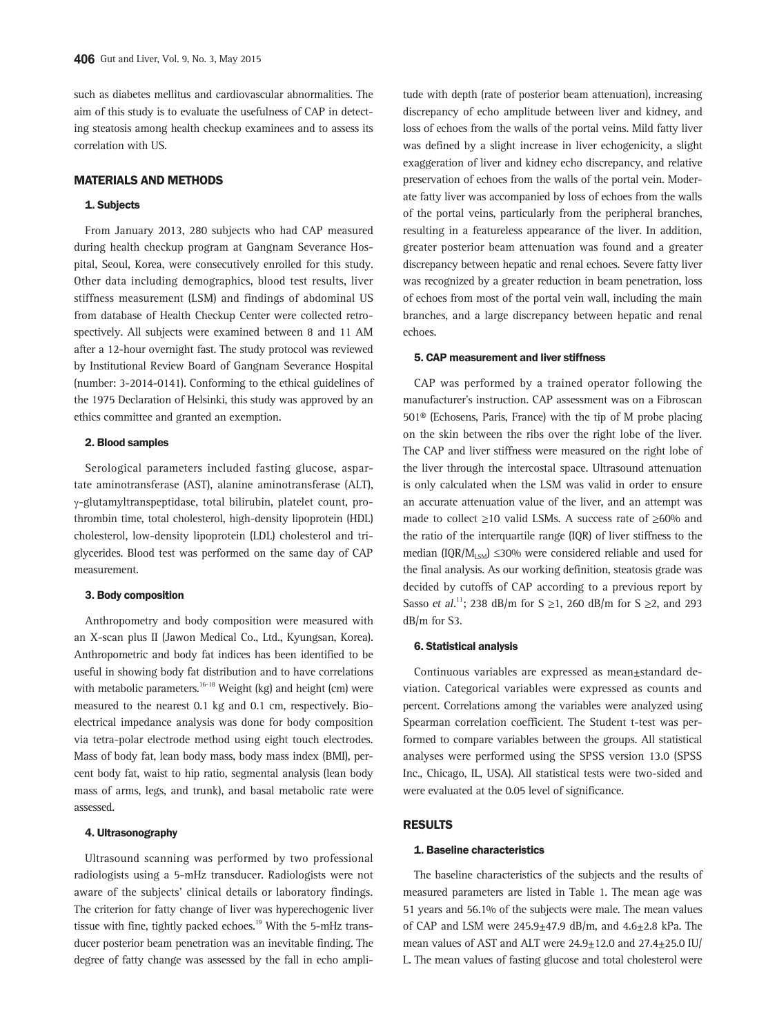such as diabetes mellitus and cardiovascular abnormalities. The aim of this study is to evaluate the usefulness of CAP in detecting steatosis among health checkup examinees and to assess its correlation with US.

#### MATERIALS AND METHODS

#### 1. Subjects

From January 2013, 280 subjects who had CAP measured during health checkup program at Gangnam Severance Hospital, Seoul, Korea, were consecutively enrolled for this study. Other data including demographics, blood test results, liver stiffness measurement (LSM) and findings of abdominal US from database of Health Checkup Center were collected retrospectively. All subjects were examined between 8 and 11 AM after a 12-hour overnight fast. The study protocol was reviewed by Institutional Review Board of Gangnam Severance Hospital (number: 3-2014-0141). Conforming to the ethical guidelines of the 1975 Declaration of Helsinki, this study was approved by an ethics committee and granted an exemption.

## 2. Blood samples

Serological parameters included fasting glucose, aspartate aminotransferase (AST), alanine aminotransferase (ALT), γ-glutamyltranspeptidase, total bilirubin, platelet count, prothrombin time, total cholesterol, high-density lipoprotein (HDL) cholesterol, low-density lipoprotein (LDL) cholesterol and triglycerides. Blood test was performed on the same day of CAP measurement.

## 3. Body composition

Anthropometry and body composition were measured with an X-scan plus II (Jawon Medical Co., Ltd., Kyungsan, Korea). Anthropometric and body fat indices has been identified to be useful in showing body fat distribution and to have correlations with metabolic parameters.<sup>16-18</sup> Weight (kg) and height (cm) were measured to the nearest 0.1 kg and 0.1 cm, respectively. Bioelectrical impedance analysis was done for body composition via tetra-polar electrode method using eight touch electrodes. Mass of body fat, lean body mass, body mass index (BMI), percent body fat, waist to hip ratio, segmental analysis (lean body mass of arms, legs, and trunk), and basal metabolic rate were assessed.

#### 4. Ultrasonography

Ultrasound scanning was performed by two professional radiologists using a 5-mHz transducer. Radiologists were not aware of the subjects' clinical details or laboratory findings. The criterion for fatty change of liver was hyperechogenic liver tissue with fine, tightly packed echoes.<sup>19</sup> With the 5-mHz transducer posterior beam penetration was an inevitable finding. The degree of fatty change was assessed by the fall in echo amplitude with depth (rate of posterior beam attenuation), increasing discrepancy of echo amplitude between liver and kidney, and loss of echoes from the walls of the portal veins. Mild fatty liver was defined by a slight increase in liver echogenicity, a slight exaggeration of liver and kidney echo discrepancy, and relative preservation of echoes from the walls of the portal vein. Moderate fatty liver was accompanied by loss of echoes from the walls of the portal veins, particularly from the peripheral branches, resulting in a featureless appearance of the liver. In addition, greater posterior beam attenuation was found and a greater discrepancy between hepatic and renal echoes. Severe fatty liver was recognized by a greater reduction in beam penetration, loss of echoes from most of the portal vein wall, including the main branches, and a large discrepancy between hepatic and renal echoes.

## 5. CAP measurement and liver stiffness

CAP was performed by a trained operator following the manufacturer's instruction. CAP assessment was on a Fibroscan 501® (Echosens, Paris, France) with the tip of M probe placing on the skin between the ribs over the right lobe of the liver. The CAP and liver stiffness were measured on the right lobe of the liver through the intercostal space. Ultrasound attenuation is only calculated when the LSM was valid in order to ensure an accurate attenuation value of the liver, and an attempt was made to collect  $\geq$ 10 valid LSMs. A success rate of  $\geq$ 60% and the ratio of the interquartile range (IQR) of liver stiffness to the median (IQR/ $M_{ISM}$ ) ≤30% were considered reliable and used for the final analysis. As our working definition, steatosis grade was decided by cutoffs of CAP according to a previous report by Sasso et al.<sup>11</sup>; 238 dB/m for S  $\geq$ 1, 260 dB/m for S  $\geq$ 2, and 293 dB/m for S3.

#### 6. Statistical analysis

Continuous variables are expressed as mean±standard deviation. Categorical variables were expressed as counts and percent. Correlations among the variables were analyzed using Spearman correlation coefficient. The Student t-test was performed to compare variables between the groups. All statistical analyses were performed using the SPSS version 13.0 (SPSS Inc., Chicago, IL, USA). All statistical tests were two-sided and were evaluated at the 0.05 level of significance.

## RESULTS

#### 1. Baseline characteristics

The baseline characteristics of the subjects and the results of measured parameters are listed in Table 1. The mean age was 51 years and 56.1% of the subjects were male. The mean values of CAP and LSM were  $245.9 \pm 47.9$  dB/m, and  $4.6 \pm 2.8$  kPa. The mean values of AST and ALT were  $24.9 \pm 12.0$  and  $27.4 \pm 25.0$  IU/ L. The mean values of fasting glucose and total cholesterol were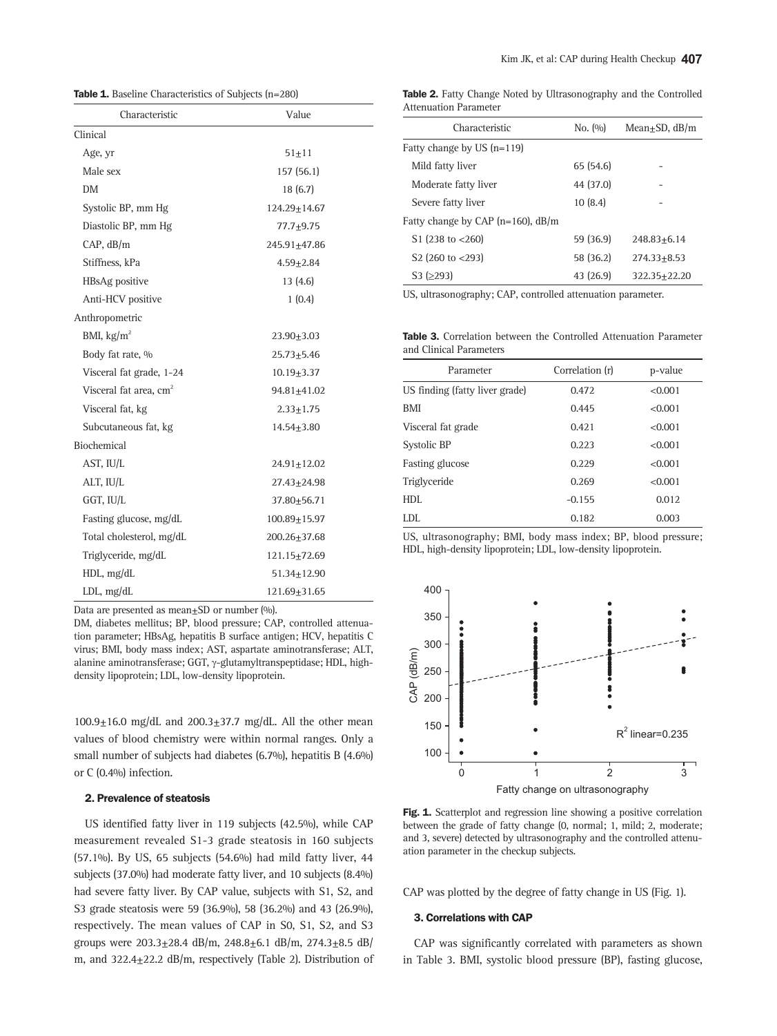Table 1. Baseline Characteristics of Subjects (n=280)

| Characteristic                     | Value              |
|------------------------------------|--------------------|
| Clinical                           |                    |
| Age, yr                            | $51 + 11$          |
| Male sex                           | 157 (56.1)         |
| DM                                 | 18(6.7)            |
| Systolic BP, mm Hg                 | $124.29 \pm 14.67$ |
| Diastolic BP, mm Hg                | 77.7±9.75          |
| CAP, dB/m                          | 245.91+47.86       |
| Stiffness, kPa                     | $4.59 + 2.84$      |
| HBsAg positive                     | 13(4.6)            |
| Anti-HCV positive                  | 1(0.4)             |
| Anthropometric                     |                    |
| BMI, $\text{kg/m}^2$               | $23.90 + 3.03$     |
| Body fat rate, %                   | 25.73±5.46         |
| Visceral fat grade, 1-24           | $10.19 + 3.37$     |
| Visceral fat area, cm <sup>2</sup> | 94.81±41.02        |
| Visceral fat, kg                   | $2.33 \pm 1.75$    |
| Subcutaneous fat, kg               | 14.54±3.80         |
| Biochemical                        |                    |
| AST, IU/L                          | $24.91 \pm 12.02$  |
| ALT, IU/L                          | $27.43 \pm 24.98$  |
| GGT, IU/L                          | 37.80+56.71        |
| Fasting glucose, mg/dL             | $100.89 + 15.97$   |
| Total cholesterol, mg/dL           | 200.26+37.68       |
| Triglyceride, mg/dL                | 121.15±72.69       |
| HDL, mg/dL                         | 51.34±12.90        |
| LDL, mg/dL                         | 121.69±31.65       |

Data are presented as mean $\pm$ SD or number (%).

DM, diabetes mellitus; BP, blood pressure; CAP, controlled attenuation parameter; HBsAg, hepatitis B surface antigen; HCV, hepatitis C virus; BMI, body mass index; AST, aspartate aminotransferase; ALT, alanine aminotransferase; GGT, γ-glutamyltranspeptidase; HDL, highdensity lipoprotein; LDL, low-density lipoprotein.

 $100.9\pm16.0$  mg/dL and  $200.3\pm37.7$  mg/dL. All the other mean values of blood chemistry were within normal ranges. Only a small number of subjects had diabetes (6.7%), hepatitis B (4.6%) or C (0.4%) infection.

#### 2. Prevalence of steatosis

US identified fatty liver in 119 subjects (42.5%), while CAP measurement revealed S1-3 grade steatosis in 160 subjects (57.1%). By US, 65 subjects (54.6%) had mild fatty liver, 44 subjects (37.0%) had moderate fatty liver, and 10 subjects (8.4%) had severe fatty liver. By CAP value, subjects with S1, S2, and S3 grade steatosis were 59 (36.9%), 58 (36.2%) and 43 (26.9%), respectively. The mean values of CAP in S0, S1, S2, and S3 groups were 203.3±28.4 dB/m, 248.8±6.1 dB/m, 274.3±8.5 dB/ m, and 322.4±22.2 dB/m, respectively (Table 2). Distribution of

Table 2. Fatty Change Noted by Ultrasonography and the Controlled Attenuation Parameter

| Characteristic                        | No. (%)   | Mean+SD, $dB/m$ |
|---------------------------------------|-----------|-----------------|
| Fatty change by US $(n=119)$          |           |                 |
| Mild fatty liver                      | 65 (54.6) |                 |
| Moderate fatty liver                  | 44 (37.0) |                 |
| Severe fatty liver                    | 10(8.4)   |                 |
| Fatty change by CAP ( $n=160$ ), dB/m |           |                 |
| S1 (238 to $<$ 260)                   | 59 (36.9) | 248.83+6.14     |
| S <sub>2</sub> (260 to $<$ 293)       | 58 (36.2) | $274.33 + 8.53$ |
| $S3$ ( $>293$ )                       | 43 (26.9) | 322.35+22.20    |
|                                       |           |                 |

US, ultrasonography; CAP, controlled attenuation parameter.

Table 3. Correlation between the Controlled Attenuation Parameter and Clinical Parameters

| Parameter                      | Correlation (r) | p-value |
|--------------------------------|-----------------|---------|
| US finding (fatty liver grade) | 0.472           | < 0.001 |
| BMI                            | 0.445           | < 0.001 |
| Visceral fat grade             | 0.421           | < 0.001 |
| Systolic BP                    | 0.223           | < 0.001 |
| Fasting glucose                | 0.229           | < 0.001 |
| Triglyceride                   | 0.269           | < 0.001 |
| HDI.                           | $-0.155$        | 0.012   |
| LDL                            | 0.182           | 0.003   |

US, ultrasonography; BMI, body mass index; BP, blood pressure; HDL, high-density lipoprotein; LDL, low-density lipoprotein.



Fig. 1. Scatterplot and regression line showing a positive correlation between the grade of fatty change (0, normal; 1, mild; 2, moderate; and 3, severe) detected by ultrasonography and the controlled attenu-

CAP was plotted by the degree of fatty change in US (Fig. 1).

#### 3. Correlations with CAP

ation parameter in the checkup subjects.

CAP was significantly correlated with parameters as shown in Table 3. BMI, systolic blood pressure (BP), fasting glucose,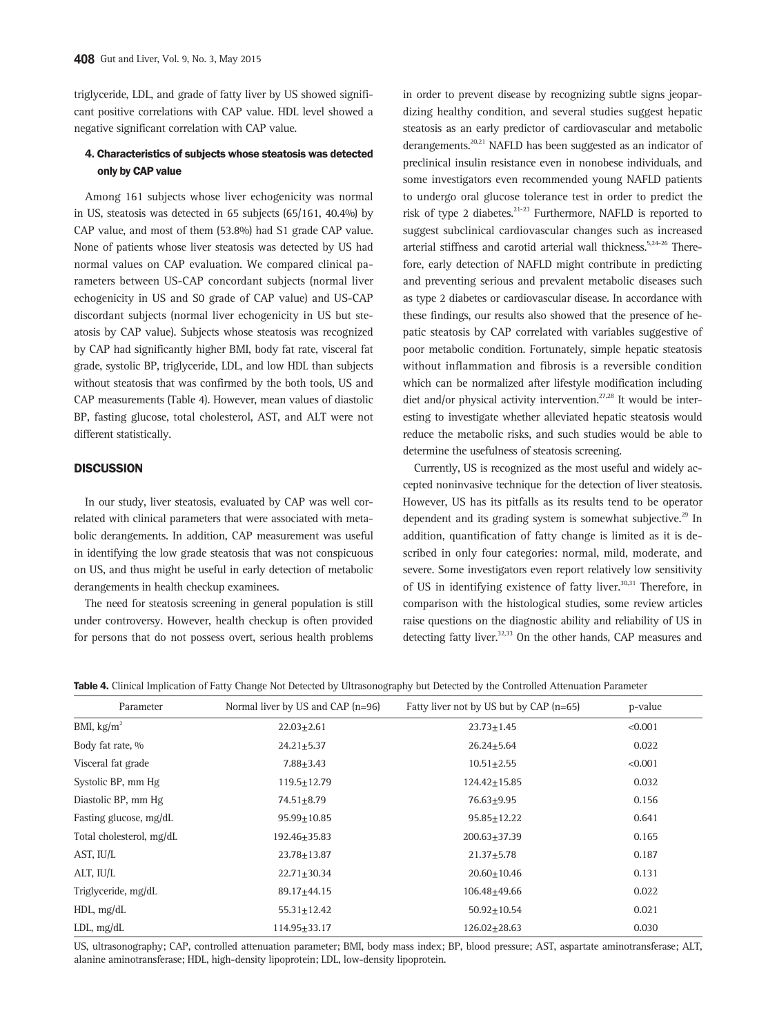triglyceride, LDL, and grade of fatty liver by US showed significant positive correlations with CAP value. HDL level showed a negative significant correlation with CAP value.

## 4. Characteristics of subjects whose steatosis was detected only by CAP value

Among 161 subjects whose liver echogenicity was normal in US, steatosis was detected in 65 subjects (65/161, 40.4%) by CAP value, and most of them (53.8%) had S1 grade CAP value. None of patients whose liver steatosis was detected by US had normal values on CAP evaluation. We compared clinical parameters between US-CAP concordant subjects (normal liver echogenicity in US and S0 grade of CAP value) and US-CAP discordant subjects (normal liver echogenicity in US but steatosis by CAP value). Subjects whose steatosis was recognized by CAP had significantly higher BMI, body fat rate, visceral fat grade, systolic BP, triglyceride, LDL, and low HDL than subjects without steatosis that was confirmed by the both tools, US and CAP measurements (Table 4). However, mean values of diastolic BP, fasting glucose, total cholesterol, AST, and ALT were not different statistically.

## **DISCUSSION**

In our study, liver steatosis, evaluated by CAP was well correlated with clinical parameters that were associated with metabolic derangements. In addition, CAP measurement was useful in identifying the low grade steatosis that was not conspicuous on US, and thus might be useful in early detection of metabolic derangements in health checkup examinees.

The need for steatosis screening in general population is still under controversy. However, health checkup is often provided for persons that do not possess overt, serious health problems in order to prevent disease by recognizing subtle signs jeopardizing healthy condition, and several studies suggest hepatic steatosis as an early predictor of cardiovascular and metabolic derangements.<sup>20,21</sup> NAFLD has been suggested as an indicator of preclinical insulin resistance even in nonobese individuals, and some investigators even recommended young NAFLD patients to undergo oral glucose tolerance test in order to predict the risk of type 2 diabetes. $2^{21-23}$  Furthermore, NAFLD is reported to suggest subclinical cardiovascular changes such as increased arterial stiffness and carotid arterial wall thickness.<sup>5,24-26</sup> Therefore, early detection of NAFLD might contribute in predicting and preventing serious and prevalent metabolic diseases such as type 2 diabetes or cardiovascular disease. In accordance with these findings, our results also showed that the presence of hepatic steatosis by CAP correlated with variables suggestive of poor metabolic condition. Fortunately, simple hepatic steatosis without inflammation and fibrosis is a reversible condition which can be normalized after lifestyle modification including diet and/or physical activity intervention.<sup>27,28</sup> It would be interesting to investigate whether alleviated hepatic steatosis would reduce the metabolic risks, and such studies would be able to determine the usefulness of steatosis screening.

Currently, US is recognized as the most useful and widely accepted noninvasive technique for the detection of liver steatosis. However, US has its pitfalls as its results tend to be operator dependent and its grading system is somewhat subjective.<sup>29</sup> In addition, quantification of fatty change is limited as it is described in only four categories: normal, mild, moderate, and severe. Some investigators even report relatively low sensitivity of US in identifying existence of fatty liver.<sup>30,31</sup> Therefore, in comparison with the histological studies, some review articles raise questions on the diagnostic ability and reliability of US in detecting fatty liver.<sup>32,33</sup> On the other hands, CAP measures and

|  |  |  |  | Table 4. Clinical Implication of Fatty Change Not Detected by Ultrasonography but Detected by the Controlled Attenuation Parameter |  |  |
|--|--|--|--|------------------------------------------------------------------------------------------------------------------------------------|--|--|
|  |  |  |  |                                                                                                                                    |  |  |

| Parameter                | Normal liver by US and CAP $(n=96)$ | Fatty liver not by US but by CAP $(n=65)$ | p-value |
|--------------------------|-------------------------------------|-------------------------------------------|---------|
| BMI, $kg/m2$             | $22.03 + 2.61$                      | $23.73 + 1.45$                            | < 0.001 |
| Body fat rate, %         | $24.21 + 5.37$                      | $26.24 + 5.64$                            | 0.022   |
| Visceral fat grade       | $7.88 + 3.43$                       | $10.51 + 2.55$                            | < 0.001 |
| Systolic BP, mm Hg       | $119.5 + 12.79$                     | 124.42+15.85                              | 0.032   |
| Diastolic BP, mm Hg      | 74.51+8.79                          | 76.63+9.95                                | 0.156   |
| Fasting glucose, mg/dL   | 95.99+10.85                         | 95.85+12.22                               | 0.641   |
| Total cholesterol, mg/dL | 192.46+35.83                        | 200.63+37.39                              | 0.165   |
| AST, IU/L                | 23.78+13.87                         | $21.37 + 5.78$                            | 0.187   |
| ALT, IU/L                | 22.71+30.34                         | $20.60 + 10.46$                           | 0.131   |
| Triglyceride, mg/dL      | 89.17+44.15                         | 106.48+49.66                              | 0.022   |
| $HDL$ , mg/dL            | $55.31 + 12.42$                     | $50.92 + 10.54$                           | 0.021   |
| $LDL$ , mg/d $L$         | 114.95+33.17                        | 126.02+28.63                              | 0.030   |

US, ultrasonography; CAP, controlled attenuation parameter; BMI, body mass index; BP, blood pressure; AST, aspartate aminotransferase; ALT, alanine aminotransferase; HDL, high-density lipoprotein; LDL, low-density lipoprotein.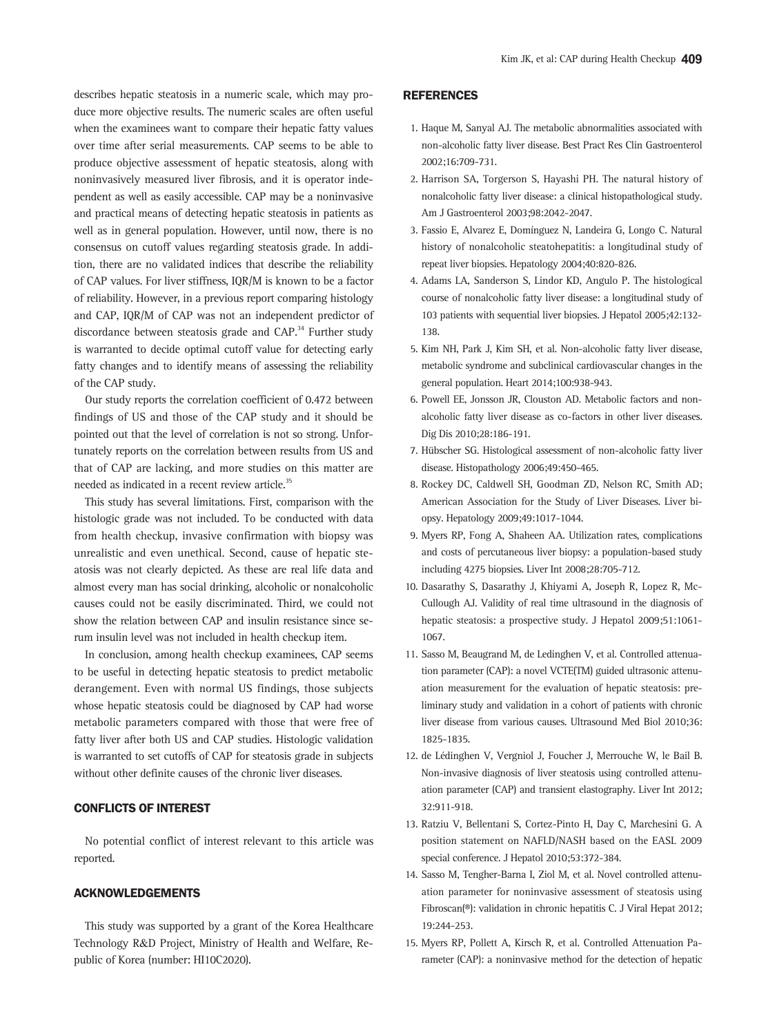describes hepatic steatosis in a numeric scale, which may produce more objective results. The numeric scales are often useful when the examinees want to compare their hepatic fatty values over time after serial measurements. CAP seems to be able to produce objective assessment of hepatic steatosis, along with noninvasively measured liver fibrosis, and it is operator independent as well as easily accessible. CAP may be a noninvasive and practical means of detecting hepatic steatosis in patients as well as in general population. However, until now, there is no consensus on cutoff values regarding steatosis grade. In addition, there are no validated indices that describe the reliability of CAP values. For liver stiffness, IQR/M is known to be a factor of reliability. However, in a previous report comparing histology and CAP, IQR/M of CAP was not an independent predictor of discordance between steatosis grade and CAP.<sup>34</sup> Further study is warranted to decide optimal cutoff value for detecting early fatty changes and to identify means of assessing the reliability of the CAP study.

Our study reports the correlation coefficient of 0.472 between findings of US and those of the CAP study and it should be pointed out that the level of correlation is not so strong. Unfortunately reports on the correlation between results from US and that of CAP are lacking, and more studies on this matter are needed as indicated in a recent review article.<sup>35</sup>

This study has several limitations. First, comparison with the histologic grade was not included. To be conducted with data from health checkup, invasive confirmation with biopsy was unrealistic and even unethical. Second, cause of hepatic steatosis was not clearly depicted. As these are real life data and almost every man has social drinking, alcoholic or nonalcoholic causes could not be easily discriminated. Third, we could not show the relation between CAP and insulin resistance since serum insulin level was not included in health checkup item.

In conclusion, among health checkup examinees, CAP seems to be useful in detecting hepatic steatosis to predict metabolic derangement. Even with normal US findings, those subjects whose hepatic steatosis could be diagnosed by CAP had worse metabolic parameters compared with those that were free of fatty liver after both US and CAP studies. Histologic validation is warranted to set cutoffs of CAP for steatosis grade in subjects without other definite causes of the chronic liver diseases.

## CONFLICTS OF INTEREST

No potential conflict of interest relevant to this article was reported.

#### ACKNOWLEDGEMENTS

This study was supported by a grant of the Korea Healthcare Technology R&D Project, Ministry of Health and Welfare, Republic of Korea (number: HI10C2020).

## **REFERENCES**

- 1. Haque M, Sanyal AJ. The metabolic abnormalities associated with non-alcoholic fatty liver disease. Best Pract Res Clin Gastroenterol 2002;16:709-731.
- 2. Harrison SA, Torgerson S, Hayashi PH. The natural history of nonalcoholic fatty liver disease: a clinical histopathological study. Am J Gastroenterol 2003;98:2042-2047.
- 3. Fassio E, Alvarez E, Domínguez N, Landeira G, Longo C. Natural history of nonalcoholic steatohepatitis: a longitudinal study of repeat liver biopsies. Hepatology 2004;40:820-826.
- 4. Adams LA, Sanderson S, Lindor KD, Angulo P. The histological course of nonalcoholic fatty liver disease: a longitudinal study of 103 patients with sequential liver biopsies. J Hepatol 2005;42:132- 138.
- 5. Kim NH, Park J, Kim SH, et al. Non-alcoholic fatty liver disease, metabolic syndrome and subclinical cardiovascular changes in the general population. Heart 2014;100:938-943.
- 6. Powell EE, Jonsson JR, Clouston AD. Metabolic factors and nonalcoholic fatty liver disease as co-factors in other liver diseases. Dig Dis 2010;28:186-191.
- 7. Hübscher SG. Histological assessment of non-alcoholic fatty liver disease. Histopathology 2006;49:450-465.
- 8. Rockey DC, Caldwell SH, Goodman ZD, Nelson RC, Smith AD; American Association for the Study of Liver Diseases. Liver biopsy. Hepatology 2009;49:1017-1044.
- 9. Myers RP, Fong A, Shaheen AA. Utilization rates, complications and costs of percutaneous liver biopsy: a population-based study including 4275 biopsies. Liver Int 2008;28:705-712.
- 10. Dasarathy S, Dasarathy J, Khiyami A, Joseph R, Lopez R, Mc-Cullough AJ. Validity of real time ultrasound in the diagnosis of hepatic steatosis: a prospective study. J Hepatol 2009;51:1061- 1067.
- 11. Sasso M, Beaugrand M, de Ledinghen V, et al. Controlled attenuation parameter (CAP): a novel VCTE(TM) guided ultrasonic attenuation measurement for the evaluation of hepatic steatosis: preliminary study and validation in a cohort of patients with chronic liver disease from various causes. Ultrasound Med Biol 2010;36: 1825-1835.
- 12. de Lédinghen V, Vergniol J, Foucher J, Merrouche W, le Bail B. Non-invasive diagnosis of liver steatosis using controlled attenuation parameter (CAP) and transient elastography. Liver Int 2012; 32:911-918.
- 13. Ratziu V, Bellentani S, Cortez-Pinto H, Day C, Marchesini G. A position statement on NAFLD/NASH based on the EASL 2009 special conference. J Hepatol 2010;53:372-384.
- 14. Sasso M, Tengher-Barna I, Ziol M, et al. Novel controlled attenuation parameter for noninvasive assessment of steatosis using Fibroscan(®): validation in chronic hepatitis C. J Viral Hepat 2012; 19:244-253.
- 15. Myers RP, Pollett A, Kirsch R, et al. Controlled Attenuation Parameter (CAP): a noninvasive method for the detection of hepatic